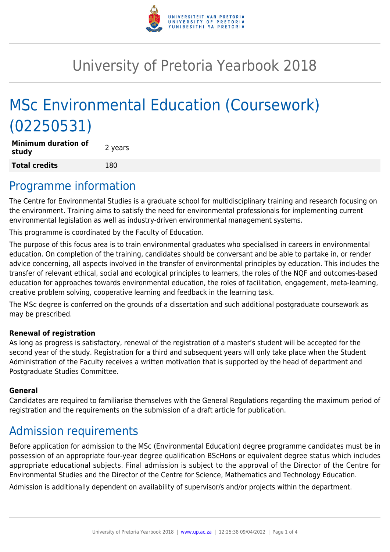

# University of Pretoria Yearbook 2018

# MSc Environmental Education (Coursework) (02250531)

**Minimum duration of study and all study 2** years **Total credits** 180

#### Programme information

The Centre for Environmental Studies is a graduate school for multidisciplinary training and research focusing on the environment. Training aims to satisfy the need for environmental professionals for implementing current environmental legislation as well as industry-driven environmental management systems.

This programme is coordinated by the Faculty of Education.

The purpose of this focus area is to train environmental graduates who specialised in careers in environmental education. On completion of the training, candidates should be conversant and be able to partake in, or render advice concerning, all aspects involved in the transfer of environmental principles by education. This includes the transfer of relevant ethical, social and ecological principles to learners, the roles of the NQF and outcomes-based education for approaches towards environmental education, the roles of facilitation, engagement, meta-learning, creative problem solving, cooperative learning and feedback in the learning task.

The MSc degree is conferred on the grounds of a dissertation and such additional postgraduate coursework as may be prescribed.

#### **Renewal of registration**

As long as progress is satisfactory, renewal of the registration of a master's student will be accepted for the second year of the study. Registration for a third and subsequent years will only take place when the Student Administration of the Faculty receives a written motivation that is supported by the head of department and Postgraduate Studies Committee.

#### **General**

Candidates are required to familiarise themselves with the General Regulations regarding the maximum period of registration and the requirements on the submission of a draft article for publication.

### Admission requirements

Before application for admission to the MSc (Environmental Education) degree programme candidates must be in possession of an appropriate four-year degree qualification BScHons or equivalent degree status which includes appropriate educational subjects. Final admission is subject to the approval of the Director of the Centre for Environmental Studies and the Director of the Centre for Science, Mathematics and Technology Education.

Admission is additionally dependent on availability of supervisor/s and/or projects within the department.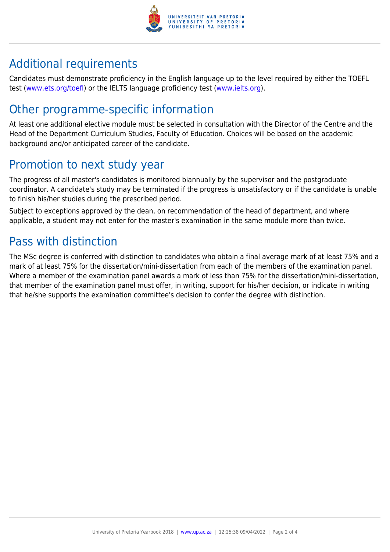

## Additional requirements

Candidates must demonstrate proficiency in the English language up to the level required by either the TOEFL test [\(www.ets.org/toefl\)](http://www.ets.org/toefl) or the IELTS language proficiency test ([www.ielts.org](http://www.ielts.org)).

## Other programme-specific information

At least one additional elective module must be selected in consultation with the Director of the Centre and the Head of the Department Curriculum Studies, Faculty of Education. Choices will be based on the academic background and/or anticipated career of the candidate.

## Promotion to next study year

The progress of all master's candidates is monitored biannually by the supervisor and the postgraduate coordinator. A candidate's study may be terminated if the progress is unsatisfactory or if the candidate is unable to finish his/her studies during the prescribed period.

Subject to exceptions approved by the dean, on recommendation of the head of department, and where applicable, a student may not enter for the master's examination in the same module more than twice.

## Pass with distinction

The MSc degree is conferred with distinction to candidates who obtain a final average mark of at least 75% and a mark of at least 75% for the dissertation/mini-dissertation from each of the members of the examination panel. Where a member of the examination panel awards a mark of less than 75% for the dissertation/mini-dissertation, that member of the examination panel must offer, in writing, support for his/her decision, or indicate in writing that he/she supports the examination committee's decision to confer the degree with distinction.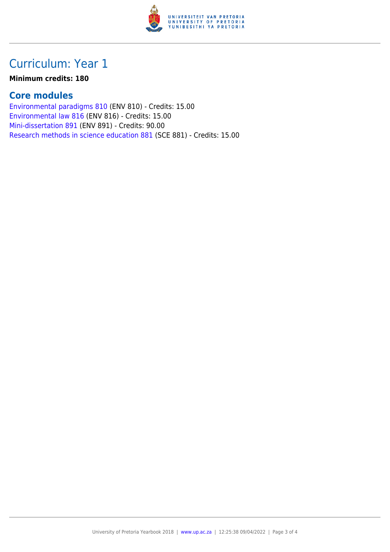

### Curriculum: Year 1

#### **Minimum credits: 180**

#### **Core modules**

[Environmental paradigms 810](https://www.up.ac.za/faculty-of-education/yearbooks/2018/modules/view/ENV 810) (ENV 810) - Credits: 15.00 [Environmental law 816](https://www.up.ac.za/faculty-of-education/yearbooks/2018/modules/view/ENV 816) (ENV 816) - Credits: 15.00 [Mini-dissertation 891](https://www.up.ac.za/faculty-of-education/yearbooks/2018/modules/view/ENV 891) (ENV 891) - Credits: 90.00 [Research methods in science education 881](https://www.up.ac.za/faculty-of-education/yearbooks/2018/modules/view/SCE 881) (SCE 881) - Credits: 15.00